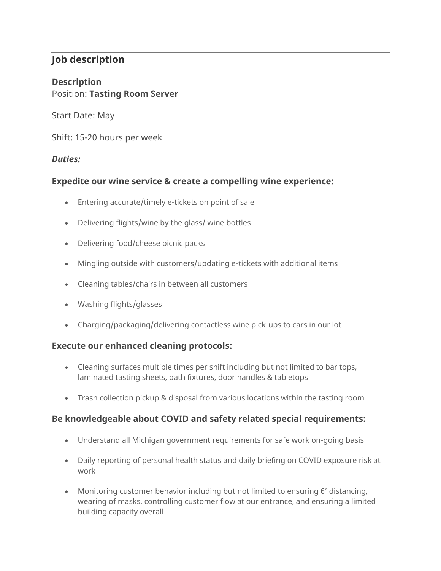## **Job description**

# **Description**

#### Position: **Tasting Room Server**

Start Date: May

Shift: 15-20 hours per week

### *Duties:*

### **Expedite our wine service & create a compelling wine experience:**

- Entering accurate/timely e-tickets on point of sale
- Delivering flights/wine by the glass/ wine bottles
- Delivering food/cheese picnic packs
- Mingling outside with customers/updating e-tickets with additional items
- Cleaning tables/chairs in between all customers
- Washing flights/glasses
- Charging/packaging/delivering contactless wine pick-ups to cars in our lot

#### **Execute our enhanced cleaning protocols:**

- Cleaning surfaces multiple times per shift including but not limited to bar tops, laminated tasting sheets, bath fixtures, door handles & tabletops
- Trash collection pickup & disposal from various locations within the tasting room

#### **Be knowledgeable about COVID and safety related special requirements:**

- Understand all Michigan government requirements for safe work on-going basis
- Daily reporting of personal health status and daily briefing on COVID exposure risk at work
- Monitoring customer behavior including but not limited to ensuring 6' distancing, wearing of masks, controlling customer flow at our entrance, and ensuring a limited building capacity overall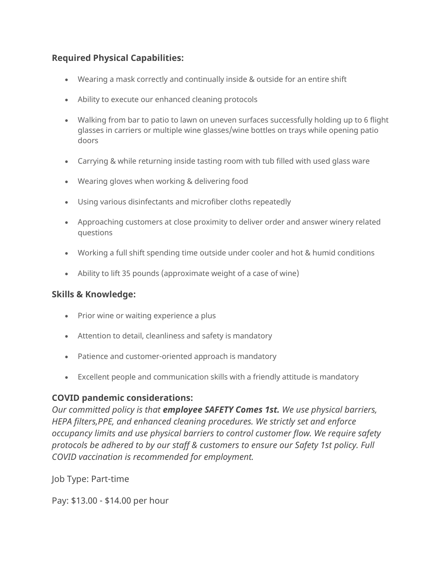#### **Required Physical Capabilities:**

- Wearing a mask correctly and continually inside & outside for an entire shift
- Ability to execute our enhanced cleaning protocols
- Walking from bar to patio to lawn on uneven surfaces successfully holding up to 6 flight glasses in carriers or multiple wine glasses/wine bottles on trays while opening patio doors
- Carrying & while returning inside tasting room with tub filled with used glass ware
- Wearing gloves when working & delivering food
- Using various disinfectants and microfiber cloths repeatedly
- Approaching customers at close proximity to deliver order and answer winery related questions
- Working a full shift spending time outside under cooler and hot & humid conditions
- Ability to lift 35 pounds (approximate weight of a case of wine)

#### **Skills & Knowledge:**

- Prior wine or waiting experience a plus
- Attention to detail, cleanliness and safety is mandatory
- Patience and customer-oriented approach is mandatory
- Excellent people and communication skills with a friendly attitude is mandatory

#### **COVID pandemic considerations:**

*Our committed policy is that employee SAFETY Comes 1st. We use physical barriers, HEPA filters,PPE, and enhanced cleaning procedures. We strictly set and enforce occupancy limits and use physical barriers to control customer flow. We require safety protocols be adhered to by our staff & customers to ensure our Safety 1st policy. Full COVID vaccination is recommended for employment.*

Job Type: Part-time

Pay: \$13.00 - \$14.00 per hour